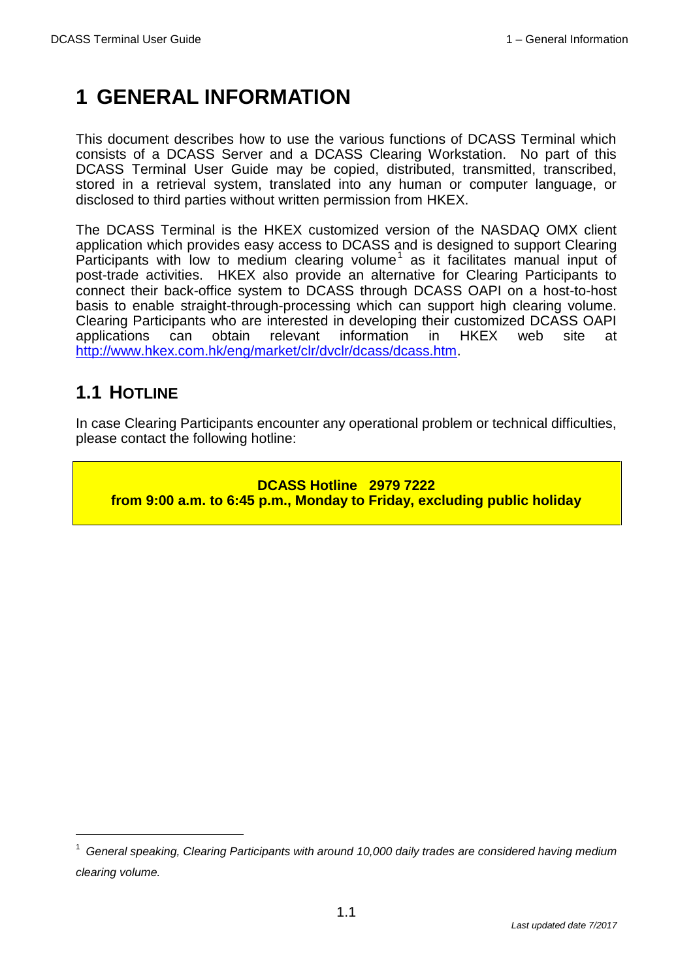# **1 GENERAL INFORMATION**

This document describes how to use the various functions of DCASS Terminal which consists of a DCASS Server and a DCASS Clearing Workstation. No part of this DCASS Terminal User Guide may be copied, distributed, transmitted, transcribed, stored in a retrieval system, translated into any human or computer language, or disclosed to third parties without written permission from HKEX.

The DCASS Terminal is the HKEX customized version of the NASDAQ OMX client application which provides easy access to DCASS and is designed to support Clearing Participants with low to medium clearing volume<sup>1</sup> as it facilitates manual input of post-trade activities. HKEX also provide an alternative for Clearing Participants to connect their back-office system to DCASS through DCASS OAPI on a host-to-host basis to enable straight-through-processing which can support high clearing volume. Clearing Participants who are interested in developing their customized DCASS OAPI applications can obtain relevant information in HKEX web site at [http://www.hkex.com.hk/eng/market/clr/dvclr/dcass/dcass.htm.](http://www.hkex.com.hk/eng/market/clr/dvclr/dcass/dcass.htm)

## **1.1 HOTLINE**

 $\overline{a}$ 

In case Clearing Participants encounter any operational problem or technical difficulties, please contact the following hotline:

**DCASS Hotline 2979 7222 from 9:00 a.m. to 6:45 p.m., Monday to Friday, excluding public holiday**

<sup>1</sup> *General speaking, Clearing Participants with around 10,000 daily trades are considered having medium clearing volume.*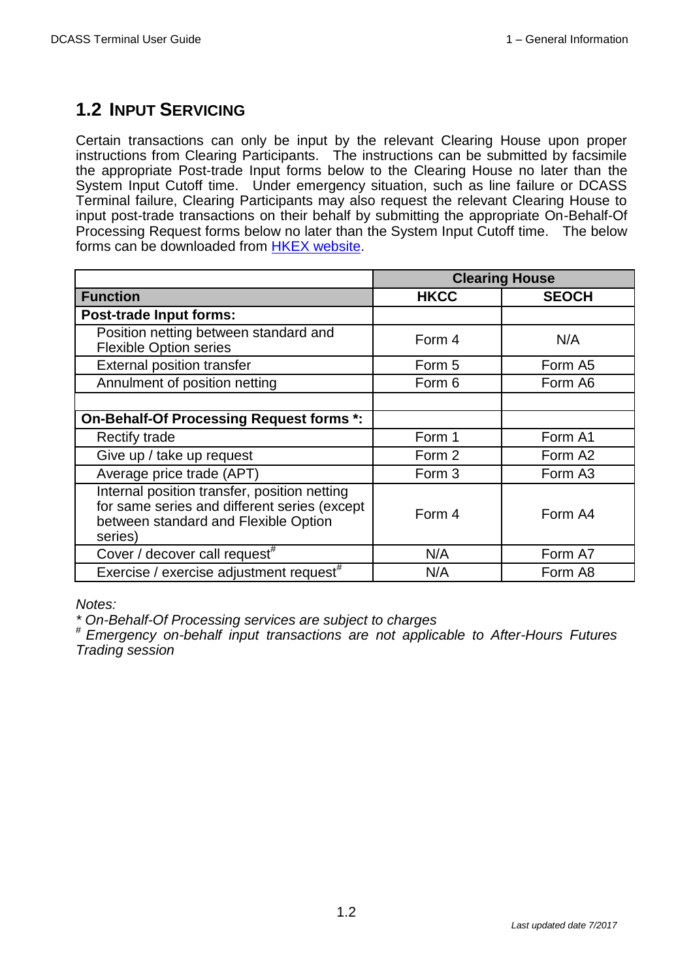## **1.2 INPUT SERVICING**

Certain transactions can only be input by the relevant Clearing House upon proper instructions from Clearing Participants. The instructions can be submitted by facsimile the appropriate Post-trade Input forms below to the Clearing House no later than the System Input Cutoff time. Under emergency situation, such as line failure or DCASS Terminal failure, Clearing Participants may also request the relevant Clearing House to input post-trade transactions on their behalf by submitting the appropriate On-Behalf-Of Processing Request forms below no later than the System Input Cutoff time. The below forms can be downloaded from **HKEX website**.

|                                                                                                                                                 | <b>Clearing House</b> |                     |  |  |  |
|-------------------------------------------------------------------------------------------------------------------------------------------------|-----------------------|---------------------|--|--|--|
| <b>Function</b>                                                                                                                                 | <b>HKCC</b>           | <b>SEOCH</b>        |  |  |  |
| <b>Post-trade Input forms:</b>                                                                                                                  |                       |                     |  |  |  |
| Position netting between standard and<br><b>Flexible Option series</b>                                                                          | Form 4                | N/A                 |  |  |  |
| <b>External position transfer</b>                                                                                                               | Form 5                | Form A5             |  |  |  |
| Annulment of position netting                                                                                                                   | Form 6                | Form A6             |  |  |  |
|                                                                                                                                                 |                       |                     |  |  |  |
| On-Behalf-Of Processing Request forms *:                                                                                                        |                       |                     |  |  |  |
| <b>Rectify trade</b>                                                                                                                            | Form 1                | Form A1             |  |  |  |
| Give up / take up request                                                                                                                       | Form 2                | Form A <sub>2</sub> |  |  |  |
| Average price trade (APT)                                                                                                                       | Form 3                | Form A3             |  |  |  |
| Internal position transfer, position netting<br>for same series and different series (except<br>between standard and Flexible Option<br>series) | Form 4                | Form A4             |  |  |  |
| Cover / decover call request <sup>#</sup>                                                                                                       | N/A                   | Form A7             |  |  |  |
| Exercise / exercise adjustment request <sup>#</sup>                                                                                             | N/A                   | Form A8             |  |  |  |

*Notes:* 

*\* On-Behalf-Of Processing services are subject to charges*

# *Emergency on-behalf input transactions are not applicable to After-Hours Futures Trading session*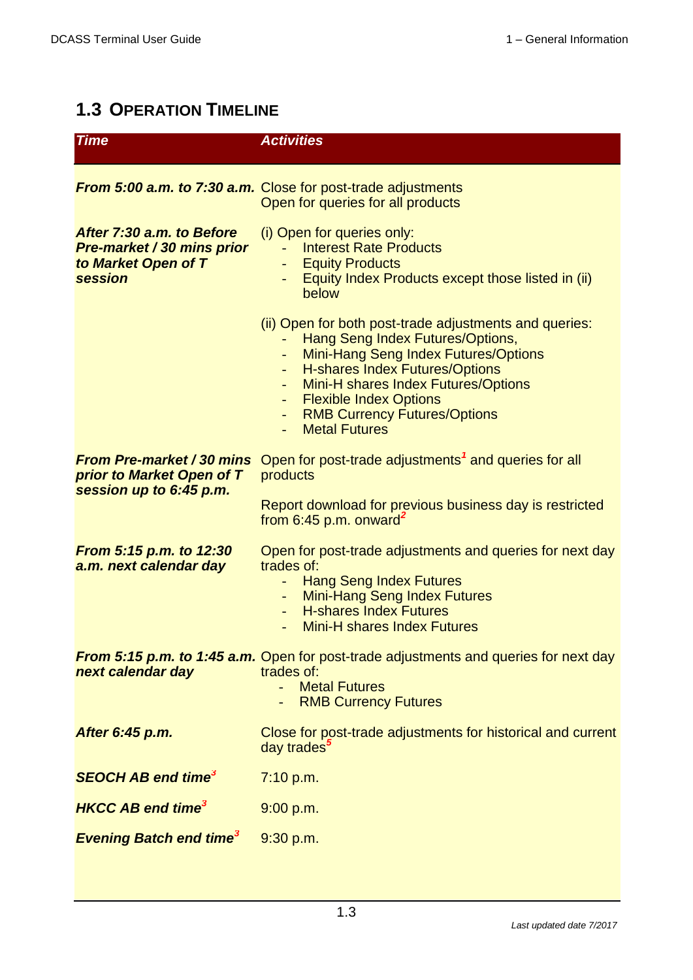# **1.3 OPERATION TIMELINE**

| <b>Time</b>                                                                               | <b>Activities</b>                                                                                                                                                                                                                                                                                             |
|-------------------------------------------------------------------------------------------|---------------------------------------------------------------------------------------------------------------------------------------------------------------------------------------------------------------------------------------------------------------------------------------------------------------|
|                                                                                           | <b>From 5:00 a.m. to 7:30 a.m.</b> Close for post-trade adjustments<br>Open for queries for all products                                                                                                                                                                                                      |
| After 7:30 a.m. to Before<br>Pre-market / 30 mins prior<br>to Market Open of T<br>session | (i) Open for queries only:<br><b>Interest Rate Products</b><br><b>Equity Products</b><br>Equity Index Products except those listed in (ii)<br>below                                                                                                                                                           |
|                                                                                           | (ii) Open for both post-trade adjustments and queries:<br>Hang Seng Index Futures/Options,<br>Mini-Hang Seng Index Futures/Options<br><b>H-shares Index Futures/Options</b><br>Mini-H shares Index Futures/Options<br>- Flexible Index Options<br><b>RMB Currency Futures/Options</b><br><b>Metal Futures</b> |
| <b>From Pre-market / 30 mins</b><br>prior to Market Open of T<br>session up to 6:45 p.m.  | Open for post-trade adjustments <sup>1</sup> and queries for all<br>products<br>Report download for previous business day is restricted                                                                                                                                                                       |
|                                                                                           | from 6:45 p.m. onward <sup>2</sup>                                                                                                                                                                                                                                                                            |
| From 5:15 p.m. to 12:30<br>a.m. next calendar day                                         | Open for post-trade adjustments and queries for next day<br>trades of:<br><b>Hang Seng Index Futures</b><br><b>Mini-Hang Seng Index Futures</b><br><b>H-shares Index Futures</b><br>Mini-H shares Index Futures                                                                                               |
| next calendar day                                                                         | <b>From 5:15 p.m. to 1:45 a.m.</b> Open for post-trade adjustments and queries for next day<br>trades of:<br><b>Metal Futures</b><br><b>RMB Currency Futures</b>                                                                                                                                              |
| After 6:45 p.m.                                                                           | Close for post-trade adjustments for historical and current<br>day trades <sup>3</sup>                                                                                                                                                                                                                        |
| <b>SEOCH AB end time<sup>3</sup></b>                                                      | 7:10 p.m.                                                                                                                                                                                                                                                                                                     |
| <b>HKCC AB end time<sup>3</sup></b>                                                       | 9:00 p.m.                                                                                                                                                                                                                                                                                                     |
| <b>Evening Batch end time<sup>3</sup></b>                                                 | 9:30 p.m.                                                                                                                                                                                                                                                                                                     |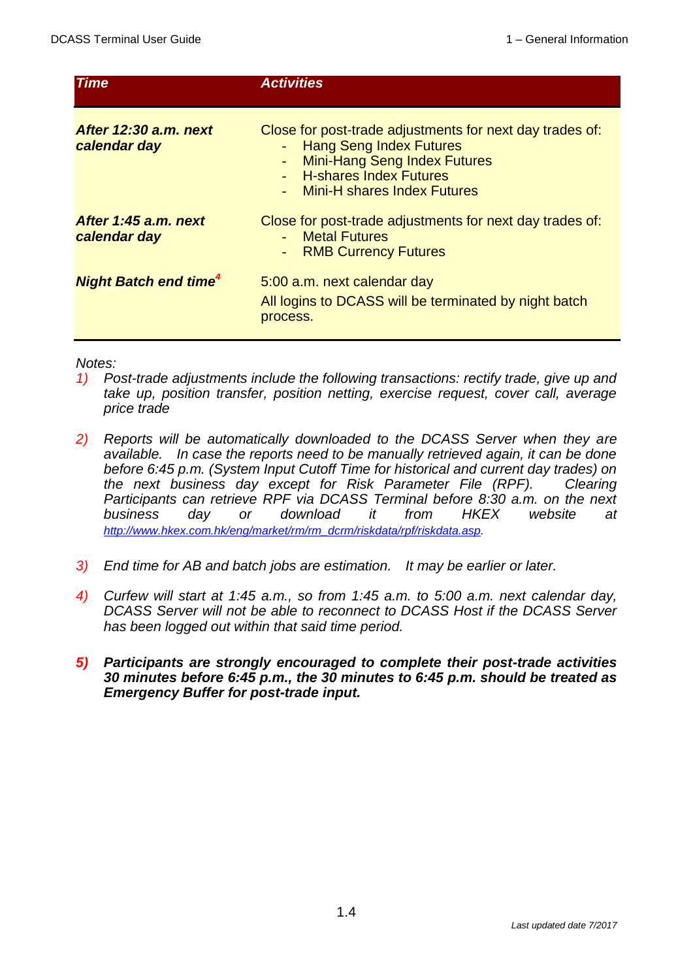| <b>Time</b>                             | <b>Activities</b>                                                                                                                                                                                                |
|-----------------------------------------|------------------------------------------------------------------------------------------------------------------------------------------------------------------------------------------------------------------|
| After 12:30 a.m. next<br>calendar day   | Close for post-trade adjustments for next day trades of:<br><b>Hang Seng Index Futures</b><br>$\omega_{\rm{max}}$<br>- Mini-Hang Seng Index Futures<br>- H-shares Index Futures<br>- Mini-H shares Index Futures |
| After 1:45 a.m. next<br>calendar day    | Close for post-trade adjustments for next day trades of:<br><b>Metal Futures</b><br><b>RMB Currency Futures</b><br>$\sim$                                                                                        |
| <b>Night Batch end time<sup>4</sup></b> | 5:00 a.m. next calendar day<br>All logins to DCASS will be terminated by night batch<br>process.                                                                                                                 |

#### *Notes:*

- *1) Post-trade adjustments include the following transactions: rectify trade, give up and take up, position transfer, position netting, exercise request, cover call, average price trade*
- *2) Reports will be automatically downloaded to the DCASS Server when they are available. In case the reports need to be manually retrieved again, it can be done before 6:45 p.m. (System Input Cutoff Time for historical and current day trades) on the next business day except for Risk Parameter File (RPF). Clearing Participants can retrieve RPF via DCASS Terminal before 8:30 a.m. on the next business day or download it from HKEX website at [http://www.hkex.com.hk/eng/market/rm/rm\\_dcrm/riskdata/rpf/riskdata.asp.](http://www.hkex.com.hk/eng/market/rm/rm_dcrm/riskdata/rpf/riskdata.asp)*
- *3) End time for AB and batch jobs are estimation. It may be earlier or later.*
- *4) Curfew will start at 1:45 a.m., so from 1:45 a.m. to 5:00 a.m. next calendar day, DCASS Server will not be able to reconnect to DCASS Host if the DCASS Server has been logged out within that said time period.*
- *5) Participants are strongly encouraged to complete their post-trade activities 30 minutes before 6:45 p.m., the 30 minutes to 6:45 p.m. should be treated as Emergency Buffer for post-trade input.*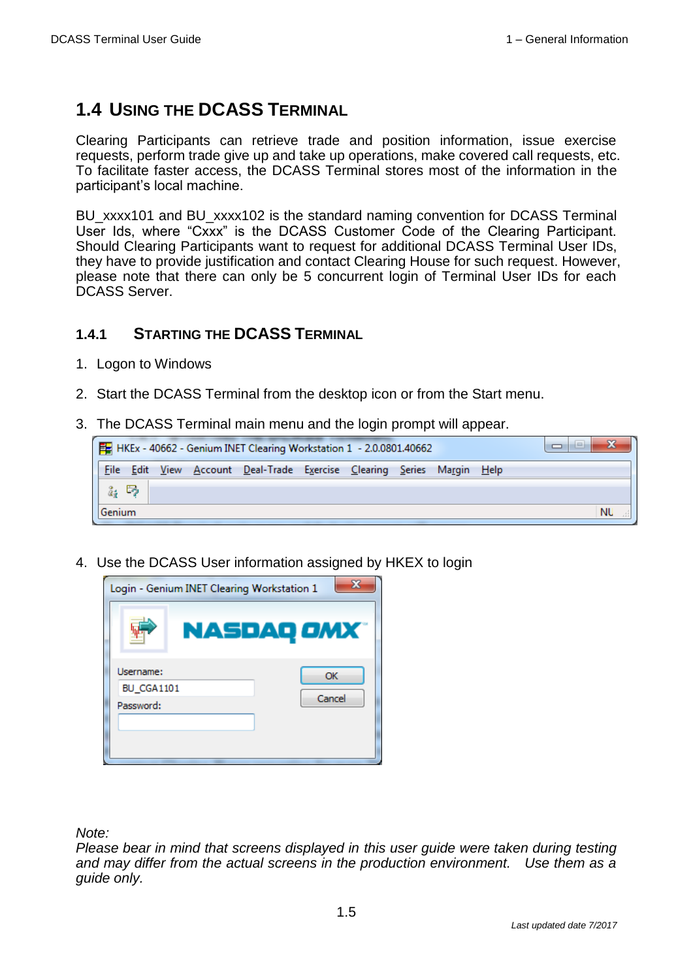## **1.4 USING THE DCASS TERMINAL**

Clearing Participants can retrieve trade and position information, issue exercise requests, perform trade give up and take up operations, make covered call requests, etc. To facilitate faster access, the DCASS Terminal stores most of the information in the participant's local machine.

BU\_xxxx101 and BU\_xxxx102 is the standard naming convention for DCASS Terminal User Ids, where "Cxxx" is the DCASS Customer Code of the Clearing Participant. Should Clearing Participants want to request for additional DCASS Terminal User IDs, they have to provide justification and contact Clearing House for such request. However, please note that there can only be 5 concurrent login of Terminal User IDs for each DCASS Server.

### **1.4.1 STARTING THE DCASS TERMINAL**

- 1. Logon to Windows
- 2. Start the DCASS Terminal from the desktop icon or from the Start menu.
- 3. The DCASS Terminal main menu and the login prompt will appear.

|                   |  | $\frac{1}{2}$ HKEx - 40662 - Genium INET Clearing Workstation 1 - 2.0.0801.40662 |  |  | ادا |    |
|-------------------|--|----------------------------------------------------------------------------------|--|--|-----|----|
| File              |  | Edit View Account Deal-Trade Exercise Clearing Series Margin Help                |  |  |     |    |
| $\mathbb{Z}_i$ by |  |                                                                                  |  |  |     |    |
| Genium            |  |                                                                                  |  |  |     | NU |

4. Use the DCASS User information assigned by HKEX to login



*Note:*

*Please bear in mind that screens displayed in this user guide were taken during testing and may differ from the actual screens in the production environment. Use them as a guide only.*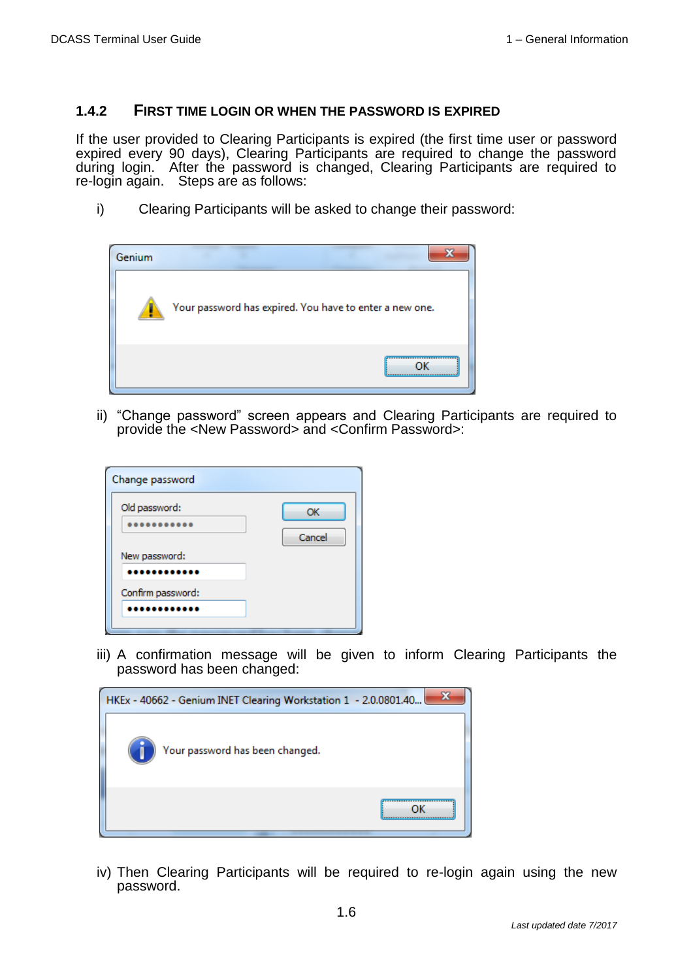#### **1.4.2 FIRST TIME LOGIN OR WHEN THE PASSWORD IS EXPIRED**

If the user provided to Clearing Participants is expired (the first time user or password expired every 90 days), Clearing Participants are required to change the password during login. After the password is changed, Clearing Participants are required to re-login again. Steps are as follows:

i) Clearing Participants will be asked to change their password:



ii) "Change password" screen appears and Clearing Participants are required to provide the <New Password> and <Confirm Password>:

| Change password   |              |
|-------------------|--------------|
| Old password:     | OK<br>Cancel |
| New password:     |              |
| Confirm password: |              |

iii) A confirmation message will be given to inform Clearing Participants the password has been changed:



iv) Then Clearing Participants will be required to re-login again using the new password.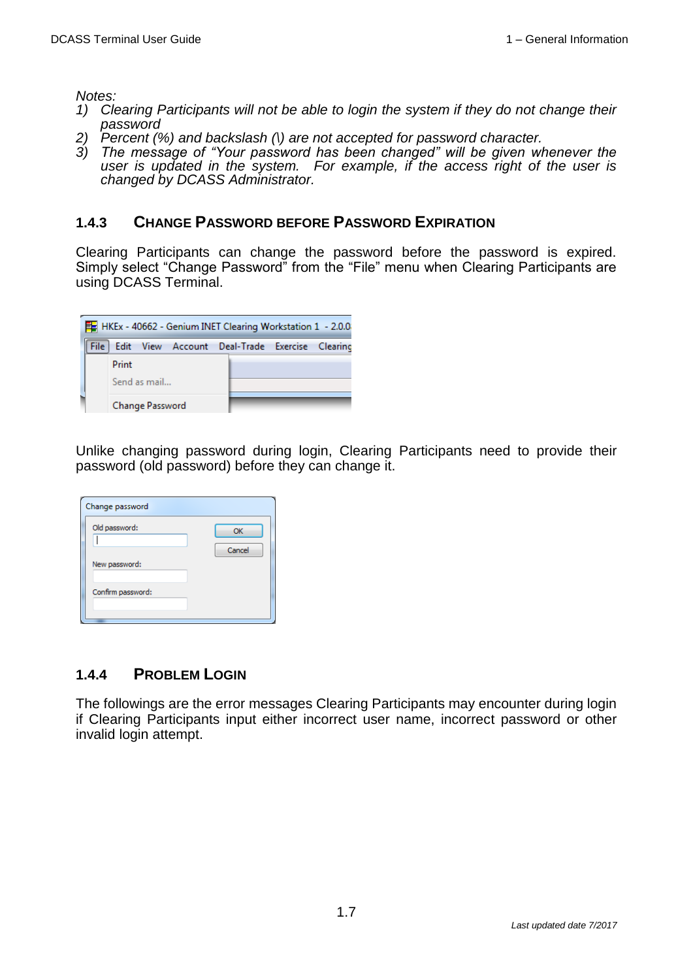*Notes:*

- *1) Clearing Participants will not be able to login the system if they do not change their password*
- *2) Percent (%) and backslash (\) are not accepted for password character.*
- *3) The message of "Your password has been changed" will be given whenever the user is updated in the system. For example, if the access right of the user is changed by DCASS Administrator.*

#### **1.4.3 CHANGE PASSWORD BEFORE PASSWORD EXPIRATION**

Clearing Participants can change the password before the password is expired. Simply select "Change Password" from the "File" menu when Clearing Participants are using DCASS Terminal.

|      | HKEx - 40662 - Genium INET Clearing Workstation 1 - 2.0.0 |  |  |
|------|-----------------------------------------------------------|--|--|
| File | Edit View Account Deal-Trade Exercise Clearing            |  |  |
|      | Print                                                     |  |  |
|      | Send as mail                                              |  |  |
|      | Change Password                                           |  |  |

Unlike changing password during login, Clearing Participants need to provide their password (old password) before they can change it.

| Change password   |              |
|-------------------|--------------|
| Old password:     | OK<br>Cancel |
| New password:     |              |
| Confirm password: |              |

#### **1.4.4 PROBLEM LOGIN**

The followings are the error messages Clearing Participants may encounter during login if Clearing Participants input either incorrect user name, incorrect password or other invalid login attempt.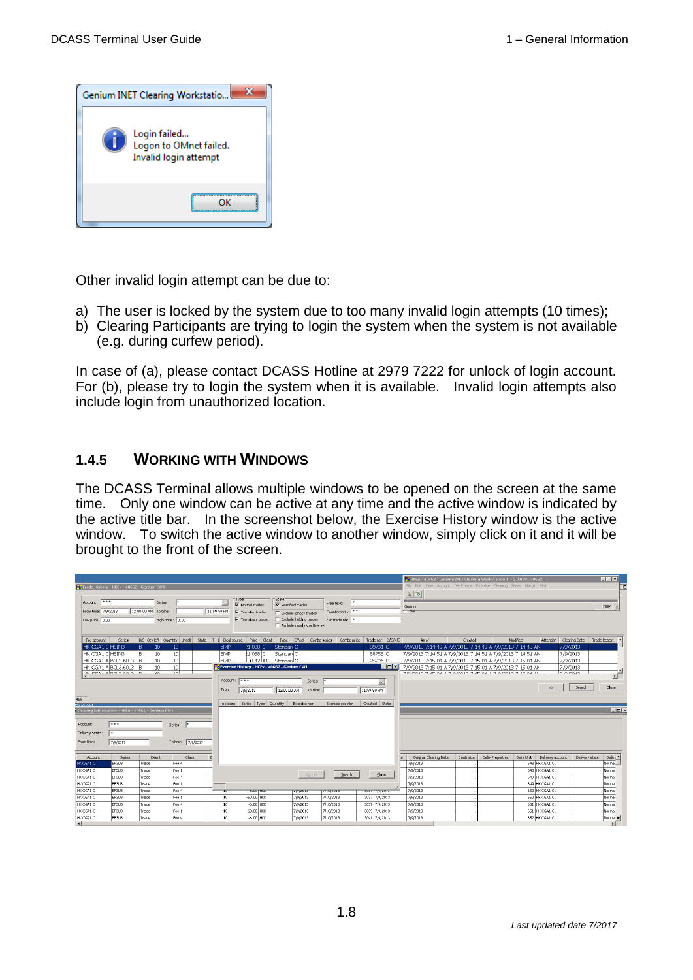

Other invalid login attempt can be due to:

- a) The user is locked by the system due to too many invalid login attempts (10 times);
- b) Clearing Participants are trying to login the system when the system is not available (e.g. during curfew period).

In case of (a), please contact DCASS Hotline at 2979 7222 for unlock of login account. For (b), please try to login the system when it is available. Invalid login attempts also include login from unauthorized location.

#### **1.4.5 WORKING WITH WINDOWS**

The DCASS Terminal allows multiple windows to be opened on the screen at the same time. Only one window can be active at any time and the active window is indicated by the active title bar. In the screenshot below, the Exercise History window is the active window. To switch the active window to another window, simply click on it and it will be brought to the front of the screen.

|                                                                                                                                                          |                                                                                       |                                                                           |                                                                                                                  |                                                                |                                                                                                                       |                                                                                                                   |                                                   |                                                                                                         | EHKEx - 40662 - Genium INET Clearing Workstation 1 - 2.0.0801.40662                                                                                                                                                                                                                                                   |            |                                |                                                                     |                | $\Box$                           |
|----------------------------------------------------------------------------------------------------------------------------------------------------------|---------------------------------------------------------------------------------------|---------------------------------------------------------------------------|------------------------------------------------------------------------------------------------------------------|----------------------------------------------------------------|-----------------------------------------------------------------------------------------------------------------------|-------------------------------------------------------------------------------------------------------------------|---------------------------------------------------|---------------------------------------------------------------------------------------------------------|-----------------------------------------------------------------------------------------------------------------------------------------------------------------------------------------------------------------------------------------------------------------------------------------------------------------------|------------|--------------------------------|---------------------------------------------------------------------|----------------|----------------------------------|
| Trade History - HKEx - 40662 - Genium CW1                                                                                                                |                                                                                       |                                                                           |                                                                                                                  |                                                                |                                                                                                                       |                                                                                                                   |                                                   |                                                                                                         | File Edit View Account Deal-Trade Exercise Clearing Series Margin Help                                                                                                                                                                                                                                                |            |                                |                                                                     |                | . jo                             |
| Account: ***<br>From time: 7/9/2013<br>Low price: 0.00                                                                                                   |                                                                                       | Series:<br>12:00:00 AM To time:                                           | High price: 0.00                                                                                                 | <u> 1</u><br>11:59:59 PM                                       | Type<br>V Normal trades<br>$\nabla$ Transfer trades<br>V Transkory trade:                                             | State<br>$\nabla$ Rectified trades<br>Exclude empty trades<br>Exclude holding trades<br>Exclude unadjusted trades | Free text:<br>Counterparty **<br>Ext trade nbr: * |                                                                                                         | $\frac{2}{4}$<br>Genium<br>$T = 350$                                                                                                                                                                                                                                                                                  |            |                                |                                                                     |                | NUM                              |
| Pos account                                                                                                                                              | Series                                                                                |                                                                           | B/S Qty left Quantity Unadj State                                                                                | T+1 Deal source                                                | Price Client                                                                                                          | Effect Combo series<br>Type                                                                                       | Combo price                                       | Trade nbr O/C/N/D                                                                                       | As of                                                                                                                                                                                                                                                                                                                 | Created    | Modified                       | Attention Clearing Date                                             | Trade Report   |                                  |
| HK CGA1 C HSINB<br>HK CGA1 CHSIN3<br>489<br>A ZIUIUOUI<br>Clearing Information - HKEx - 40662 - Genium CW1<br>Account:<br>Delivery series:<br>From time: | HK CGA1 A BCL3.60L3<br>HK CGA1 A BCL3.60L3<br>$\frac{1}{\sqrt{2}}$<br>***<br>7/9/2013 | 10 <sup>°</sup><br>B.<br>B.<br>10<br>B<br>10<br>lв<br>10<br>- 15.<br>الصد | 10 <sup>°</sup><br>10 <sup>1</sup><br>10 <sup>1</sup><br>10 <sup>1</sup><br>المد<br>Series:<br>To time: 7/9/2013 | <b>EMP</b><br><b>EMP</b><br>EMP<br>Account:<br>From<br>Account | 21.038 C<br>∤1.038  С<br>0.42 A1<br>Exercise History - HKEx - 40662 - Genium CW1<br>888<br>7/9/2013<br>Series<br>Type | Standard O<br>Standard O<br>l Standard O<br>Series:<br>12:00:00 AM<br>To time:<br>Quantity<br>Exercise nbr        | Exercise reg nbr                                  | 88731 O<br>887530<br>25226 O<br><b>HEIX</b><br>$\overline{\phantom{a}}$<br>11:59:59 PM<br>Created State | 7/9/2013 7:14:49 A 7/9/2013 7:14:49 A 7/9/2013 7:14:49 AM<br>7/9/2013 7:14:51 A 7/9/2013 7:14:51 A 7/9/2013 7:14:51 AN<br>7/9/2013 7:15:01 A 7/9/2013 7:15:01 A 7/9/2013 7:15:01 AM<br>7/9/2013 7:15:01 A 7/9/2013 7:15:01 A 7/9/2013 7:15:01 AM<br><b>BEAMATH THAT AT A RANAH THE AT A REAL AND A THAT AT ALL AT</b> |            |                                | 7/9/2013<br>7/9/2013<br>7/9/2013<br>7/9/2013<br>$H_{\text{M}}$<br>> | Search         | $\mathbf{E}$<br>Close<br>$ \Box$ |
|                                                                                                                                                          |                                                                                       |                                                                           |                                                                                                                  |                                                                |                                                                                                                       |                                                                                                                   |                                                   |                                                                                                         |                                                                                                                                                                                                                                                                                                                       |            |                                |                                                                     |                |                                  |
| Account                                                                                                                                                  | Series                                                                                | Event                                                                     | Class                                                                                                            |                                                                |                                                                                                                       |                                                                                                                   |                                                   |                                                                                                         | Original Clearing Date                                                                                                                                                                                                                                                                                                | Contr size | Deliv Unit<br>Deliv Properties | Delivery account                                                    | Delivery state | Delive -                         |
| HK CGA1 C                                                                                                                                                | EF3U3                                                                                 | Trade                                                                     | Fee 4                                                                                                            |                                                                |                                                                                                                       |                                                                                                                   |                                                   |                                                                                                         | 7/9/2013                                                                                                                                                                                                                                                                                                              |            |                                | 648 HK CGA1 C1                                                      |                | Normal_                          |
| HK CGA1 C                                                                                                                                                | EF3U3                                                                                 | Trade                                                                     | Fee 1                                                                                                            |                                                                |                                                                                                                       | Cancel                                                                                                            | Search                                            | Close                                                                                                   | 7/9/2013                                                                                                                                                                                                                                                                                                              |            |                                | 648 HK CGA1 C1                                                      |                | Normal                           |
| HK CGA1 C                                                                                                                                                | EF3U3                                                                                 | Trade                                                                     | Fee 4                                                                                                            |                                                                |                                                                                                                       |                                                                                                                   |                                                   |                                                                                                         | 7/9/2013                                                                                                                                                                                                                                                                                                              |            |                                | 649 HK CGA1 C1                                                      |                | Normal                           |
| HK CGA1 C                                                                                                                                                | EF3U3                                                                                 | Trade                                                                     | Fee 1                                                                                                            |                                                                |                                                                                                                       |                                                                                                                   |                                                   |                                                                                                         | 7/9/2013                                                                                                                                                                                                                                                                                                              |            |                                | 649 HK CGA1 C1                                                      |                | Normal                           |
| HK CGA1 C                                                                                                                                                | EF3U3                                                                                 | Trade                                                                     | Fee 4                                                                                                            | $\overline{\mathbf{u}}$                                        | $-0.001$ MKD                                                                                                          | 77972015                                                                                                          | στυχοιο                                           | 2021-11212012                                                                                           | 7/9/2013                                                                                                                                                                                                                                                                                                              |            |                                | 650 HK CGA1 C1                                                      |                | Normal                           |
| HK CGA1 C                                                                                                                                                | EF3U3                                                                                 | Trade                                                                     | Fee 1                                                                                                            | 10                                                             | $-60.00$ HKD                                                                                                          | 7/9/2013                                                                                                          | 7/10/2013                                         | 3037 7/9/2013                                                                                           | 7/9/2013                                                                                                                                                                                                                                                                                                              |            |                                | 650 HK CGA1 C1                                                      |                | Normal                           |
| HK CGA1 C                                                                                                                                                | EF3U3                                                                                 | Trade                                                                     | Fee 4                                                                                                            | 10                                                             | $-6.00$ HKD                                                                                                           | 7/9/2013                                                                                                          | 7/10/2013                                         | 3039 7/9/2013                                                                                           | 7/9/2013                                                                                                                                                                                                                                                                                                              |            |                                | 651 HK CGA1 C1                                                      |                | Normal                           |
| HK CGA1 C                                                                                                                                                | EF3U3                                                                                 | Trade                                                                     | Fee 1                                                                                                            | 10 <sup>1</sup>                                                | $-60.00$ HKD                                                                                                          | 7/9/2013                                                                                                          | 7/10/2013                                         | 3039 7/9/2013                                                                                           | 7/9/2013                                                                                                                                                                                                                                                                                                              |            |                                | 651 HK CGA1 C1                                                      |                | Normal                           |
| HK CGA1 C<br><b>Section</b>                                                                                                                              | EF3U3                                                                                 | Trade                                                                     | Fee 4                                                                                                            | 10 <sup>1</sup>                                                | $-6.00$ HKD                                                                                                           | 7/9/2013                                                                                                          | 7/10/2013                                         | 3041 7/9/2013                                                                                           | 7/9/2013                                                                                                                                                                                                                                                                                                              |            |                                | 652 HK CGA1 C1                                                      |                | Normal -<br>$\sqrt{2}$           |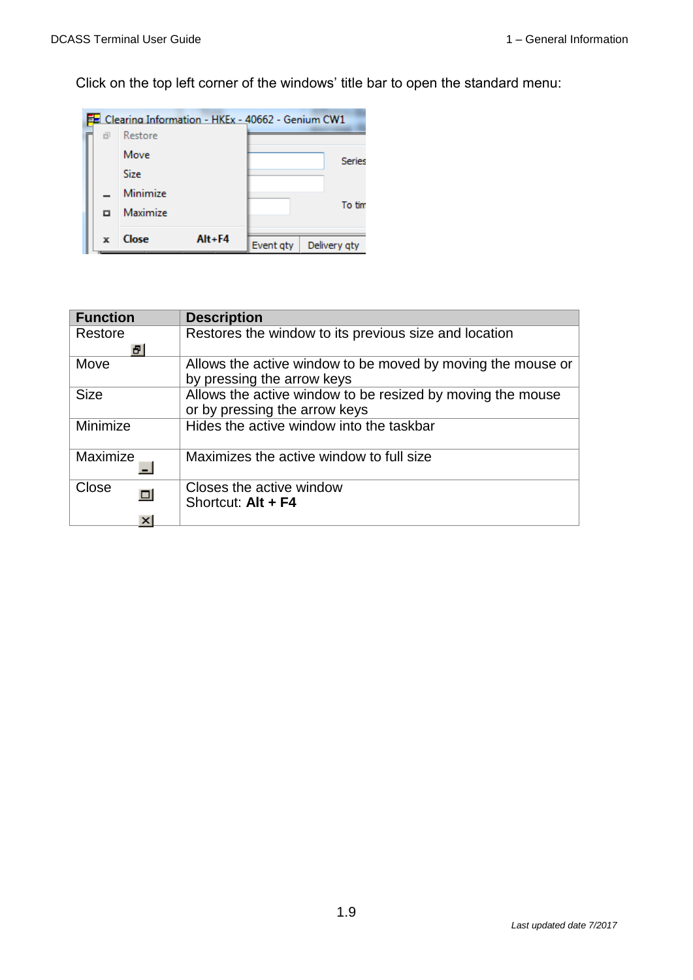Click on the top left corner of the windows' title bar to open the standard menu:



| <b>Function</b> | <b>Description</b>                                          |
|-----------------|-------------------------------------------------------------|
| Restore         | Restores the window to its previous size and location       |
| a               |                                                             |
| Move            | Allows the active window to be moved by moving the mouse or |
|                 | by pressing the arrow keys                                  |
| <b>Size</b>     | Allows the active window to be resized by moving the mouse  |
|                 | or by pressing the arrow keys                               |
| Minimize        | Hides the active window into the taskbar                    |
|                 |                                                             |
| Maximize        | Maximizes the active window to full size                    |
|                 |                                                             |
| Close           | Closes the active window                                    |
|                 | Shortcut: Alt + F4                                          |
|                 |                                                             |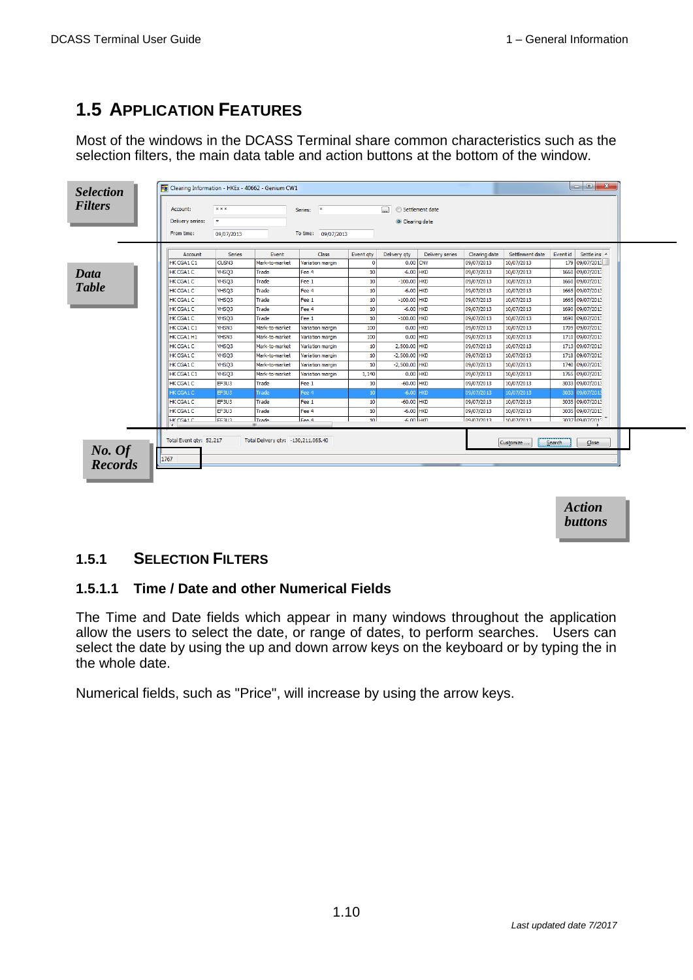## **1.5 APPLICATION FEATURES**

Most of the windows in the DCASS Terminal share common characteristics such as the selection filters, the main data table and action buttons at the bottom of the window.

|                  |               |                |                  | To time: 09/07/2013 |                 |                 |               |                 |          |                 |
|------------------|---------------|----------------|------------------|---------------------|-----------------|-----------------|---------------|-----------------|----------|-----------------|
| Account          | <b>Series</b> | Event          | Class            | Event gty           | Delivery gty    | Delivery series | Clearing date | Settlement date | Event id | Settle ins' A   |
| HK CGA1C1        | CUSN3         | Mark-to-market | Variation margin | $\mathbf{0}$        |                 | 0.00 CNY        | 09/07/2013    | 10/07/2013      |          | 179 09/07/2013  |
| HK CGA1 C        | VHSQ3         | Trade          | Fee 4            | 10                  | $-6.00$ HKD     |                 | 09/07/2013    | 10/07/2013      |          | 1660 09/07/2013 |
| HK CGA1C         | VHSQ3         | Trade          | Fee 1            | 10                  | $-100.00$ HKD   |                 | 09/07/2013    | 10/07/2013      |          | 1660 09/07/2013 |
| HK CGA1C         | VHSQ3         | Trade          | Fee 4            | 10                  | $-6.00$ HKD     |                 | 09/07/2013    | 10/07/2013      |          | 1665 09/07/2013 |
| HK CGA1C         | VHSO3         | Trade          | Fee 1            | 10                  | $-100.00$ HKD   |                 | 09/07/2013    | 10/07/2013      |          | 1665 09/07/2013 |
| HK CGA1 C        | VHSQ3         | Trade          | Fee 4            | 10                  | $-6.00$ HKD     |                 | 09/07/2013    | 10/07/2013      |          | 1690 09/07/2013 |
| HK CGA1 C        | VHSQ3         | Trade          | Fee 1            | 10                  | $-100.00$ HKD   |                 | 09/07/2013    | 10/07/2013      |          | 1690 09/07/2013 |
| HK CGA1C1        | <b>VHSN3</b>  | Mark-to-market | Variation margin | 100                 |                 | $0.00$ HKD      | 09/07/2013    | 10/07/2013      |          | 1709 09/07/2013 |
| HK CGA1H1        | <b>VHSN3</b>  | Mark-to-market | Variation margin | 100                 | $0.00$ HKD      |                 | 09/07/2013    | 10/07/2013      |          | 1710 09/07/2013 |
| <b>HK CGA1C</b>  | VHSQ3         | Mark-to-market | Variation margin | 10                  | 2,500.00 HKD    |                 | 09/07/2013    | 10/07/2013      |          | 1713 09/07/2013 |
| <b>HK CGA1 C</b> | VHSQ3         | Mark-to-market | Variation margin | 10                  | $-2,500.00$ HKD |                 | 09/07/2013    | 10/07/2013      |          | 1718 09/07/2013 |
| HK CGA1 C        | VHSQ3         | Mark-to-market | Variation margin | 10                  | $-2,500.00$ HKD |                 | 09/07/2013    | 10/07/2013      |          | 1740 09/07/2013 |
| HK CGA1C1        | VHSQ3         | Mark-to-market | Variation margin | 1,140               | $0.00$ HKD      |                 | 09/07/2013    | 10/07/2013      |          | 1765 09/07/2013 |
| HK CGA1 C        | EF3U3         | Trade          | Fee 1            | 10                  | $-60.00$ HKD    |                 | 09/07/2013    | 10/07/2013      |          | 3033 09/07/2013 |
| HK CGA1C         | EF3U3         | Frade          | Fee 4            | 10                  | $-6.00$         | <b>HKD</b>      | 09/07/2013    | 10/07/2013      | 3033     | 09/07/201       |
| HK CGA1C         | EF3U3         | Trade          | Fee 1            | 10                  | $-60.00$ HKD    |                 | 09/07/2013    | 10/07/2013      |          | 3035 09/07/2013 |
| HK CGA1C         | EF3U3         | Trade          | Fee 4            | 10                  | $-6.00$ HKD     |                 | 09/07/2013    | 10/07/2013      |          | 3035 09/07/2013 |
| HK CGA1 C        | FER 13        | Trade          | Fee 4            | 10 <sub>1</sub>     |                 | -6 nn Hikm      | ng/n7/2013    | 10/07/2013      |          | 3037 09/07/2013 |

*Action buttons*

## **1.5.1 SELECTION FILTERS**

#### **1.5.1.1 Time / Date and other Numerical Fields**

The Time and Date fields which appear in many windows throughout the application allow the users to select the date, or range of dates, to perform searches. Users can select the date by using the up and down arrow keys on the keyboard or by typing the in the whole date.

Numerical fields, such as "Price", will increase by using the arrow keys.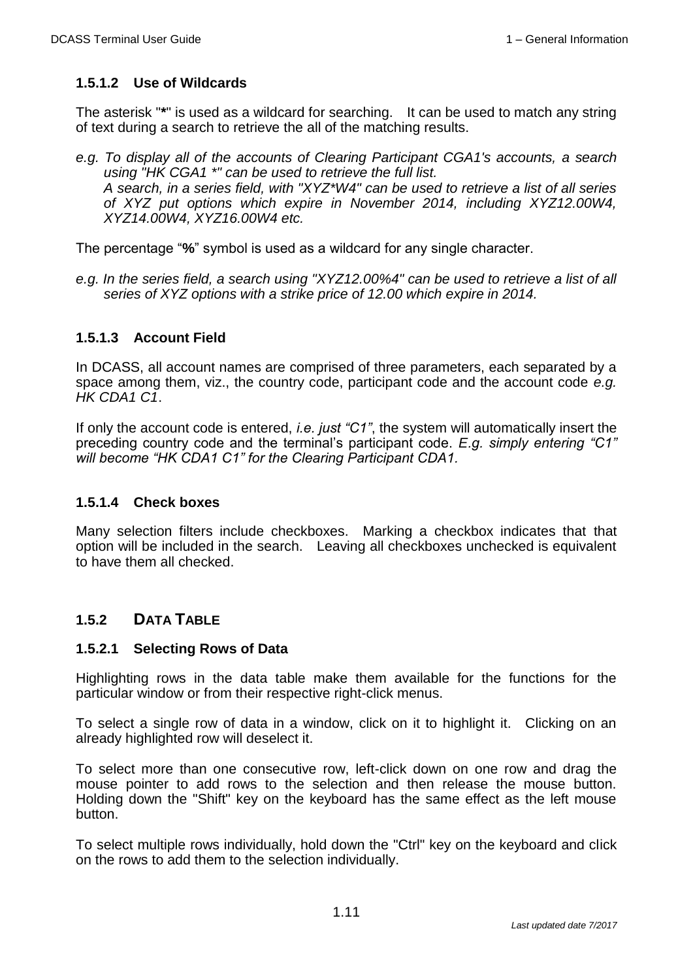### **1.5.1.2 Use of Wildcards**

The asterisk "**\***" is used as a wildcard for searching. It can be used to match any string of text during a search to retrieve the all of the matching results.

*e.g. To display all of the accounts of Clearing Participant CGA1's accounts, a search using "HK CGA1 \*" can be used to retrieve the full list. A search, in a series field, with "XYZ\*W4" can be used to retrieve a list of all series of XYZ put options which expire in November 2014, including XYZ12.00W4, XYZ14.00W4, XYZ16.00W4 etc.*

The percentage "**%**" symbol is used as a wildcard for any single character.

e.g. In the series field, a search using "XYZ12.00%4" can be used to retrieve a list of all *series of XYZ options with a strike price of 12.00 which expire in 2014.*

#### **1.5.1.3 Account Field**

In DCASS, all account names are comprised of three parameters, each separated by a space among them, viz., the country code, participant code and the account code *e.g. HK CDA1 C1*.

If only the account code is entered, *i.e. just "C1"*, the system will automatically insert the preceding country code and the terminal's participant code. *E.g. simply entering "C1" will become "HK CDA1 C1" for the Clearing Participant CDA1.*

#### **1.5.1.4 Check boxes**

Many selection filters include checkboxes. Marking a checkbox indicates that that option will be included in the search. Leaving all checkboxes unchecked is equivalent to have them all checked.

### **1.5.2 DATA TABLE**

#### **1.5.2.1 Selecting Rows of Data**

Highlighting rows in the data table make them available for the functions for the particular window or from their respective right-click menus.

To select a single row of data in a window, click on it to highlight it. Clicking on an already highlighted row will deselect it.

To select more than one consecutive row, left-click down on one row and drag the mouse pointer to add rows to the selection and then release the mouse button. Holding down the "Shift" key on the keyboard has the same effect as the left mouse button.

To select multiple rows individually, hold down the "Ctrl" key on the keyboard and click on the rows to add them to the selection individually.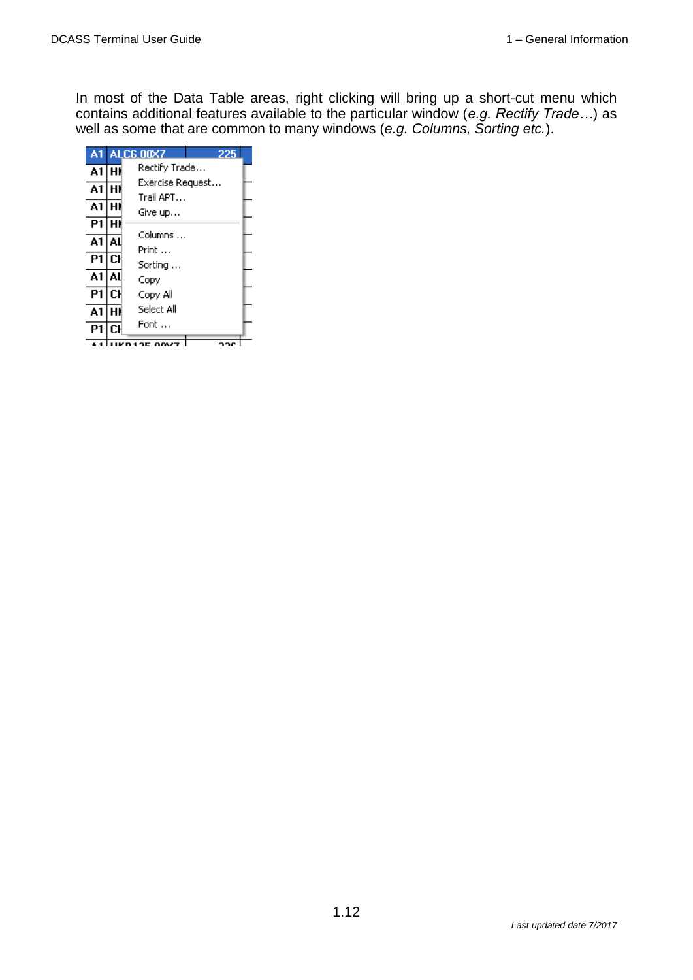In most of the Data Table areas, right clicking will bring up a short-cut menu which contains additional features available to the particular window (*e.g. Rectify Trade…*) as well as some that are common to many windows (*e.g. Columns, Sorting etc.*).

| A1 |    | <b>ALC6.00X7</b><br>フフド  |  |
|----|----|--------------------------|--|
| A1 | н١ | Rectify Trade…           |  |
| A1 | н١ | Exercise Request         |  |
| A1 | Н٨ | Trail APT<br>Give up…    |  |
| P1 | н۱ |                          |  |
| A1 | AL | Columns<br>Print         |  |
| P1 | СH | Sorting                  |  |
| A1 | AL | Copy                     |  |
| P1 | СH | Copy All                 |  |
| A1 | н١ | Select All               |  |
| P1 | СH | Font                     |  |
|    |    | 'OC<br><b>00V7</b><br>ኅባ |  |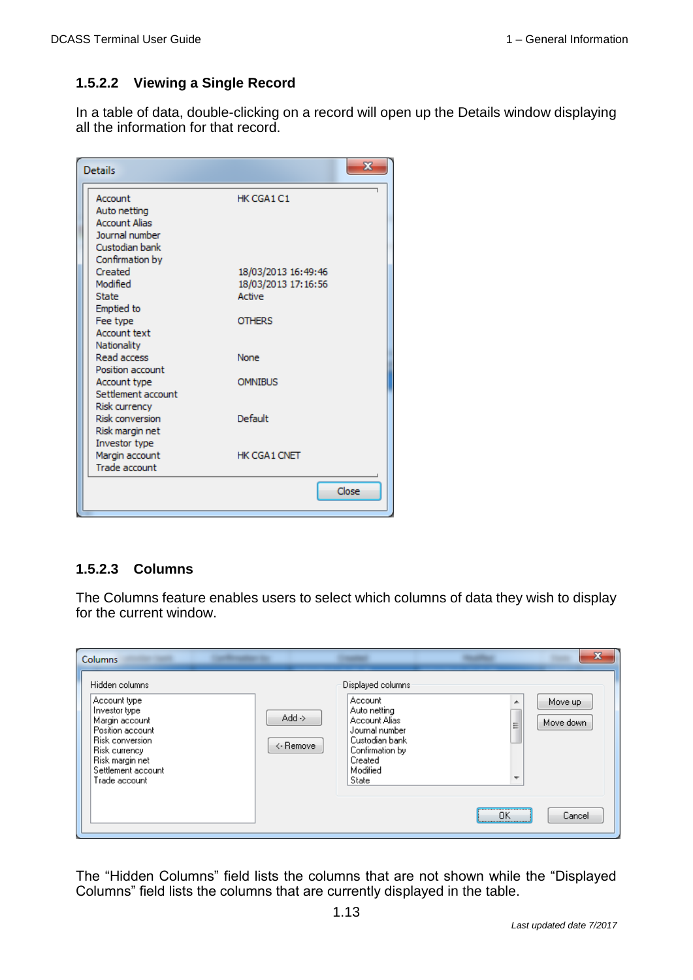#### **1.5.2.2 Viewing a Single Record**

In a table of data, double-clicking on a record will open up the Details window displaying all the information for that record.

| <b>Details</b>                                                                      | х                                          |
|-------------------------------------------------------------------------------------|--------------------------------------------|
| Account<br>Auto netting<br><b>Account Alias</b><br>Journal number<br>Custodian bank | HK CGA1 C1                                 |
| Confirmation by<br>Created<br>Modified                                              | 18/03/2013 16:49:46<br>18/03/2013 17:16:56 |
| <b>State</b><br><b>Emptied</b> to<br>Fee type<br><b>Account text</b>                | Active<br><b>OTHERS</b>                    |
| Nationality<br><b>Read access</b><br>Position account<br>Account type               | None<br><b>OMNIBUS</b>                     |
| Settlement account<br>Risk currency<br><b>Risk conversion</b>                       | Default                                    |
| Risk margin net<br>Investor type<br>Margin account                                  | HK CGA1 CNET                               |
| Trade account                                                                       | Close                                      |

#### **1.5.2.3 Columns**

The Columns feature enables users to select which columns of data they wish to display for the current window.

| <b>Columns</b><br><b>CONTRACTOR</b>                                                                                                                                                        |                                                                                                                                                                                               |                                    | $\mathbf{x}$         |
|--------------------------------------------------------------------------------------------------------------------------------------------------------------------------------------------|-----------------------------------------------------------------------------------------------------------------------------------------------------------------------------------------------|------------------------------------|----------------------|
| Hidden columns<br>Account type<br>Investor type<br>Margin account<br>Position account<br><b>Risk conversion</b><br>Risk currency<br>Risk margin net<br>Settlement account<br>Trade account | Displayed columns<br>Account<br>Auto netting<br>$Add \rightarrow$<br>Account Alias<br>Journal number<br>Custodian bank<br><- Remove<br>Confirmation by<br>Created<br>Modified<br><b>State</b> | ▲<br>⋿<br>$\overline{\phantom{a}}$ | Move up<br>Move down |
|                                                                                                                                                                                            |                                                                                                                                                                                               | <br>ПK<br>                         | Cancel               |

The "Hidden Columns" field lists the columns that are not shown while the "Displayed Columns" field lists the columns that are currently displayed in the table.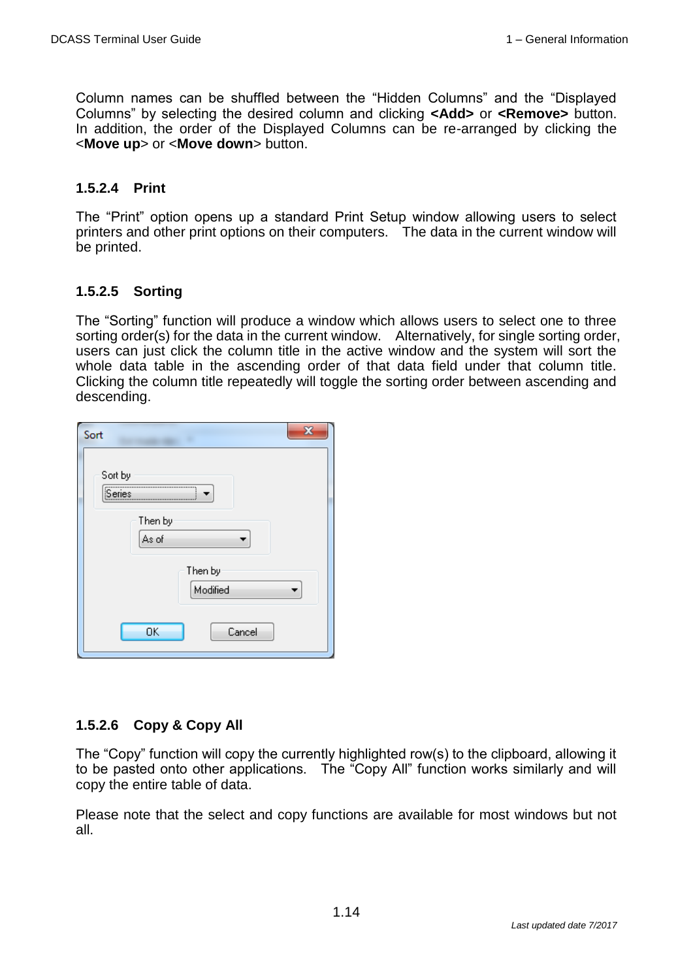Column names can be shuffled between the "Hidden Columns" and the "Displayed Columns" by selecting the desired column and clicking **<Add>** or **<Remove>** button. In addition, the order of the Displayed Columns can be re-arranged by clicking the <**Move up**> or <**Move down**> button.

#### **1.5.2.4 Print**

The "Print" option opens up a standard Print Setup window allowing users to select printers and other print options on their computers. The data in the current window will be printed.

#### **1.5.2.5 Sorting**

The "Sorting" function will produce a window which allows users to select one to three sorting order(s) for the data in the current window. Alternatively, for single sorting order, users can just click the column title in the active window and the system will sort the whole data table in the ascending order of that data field under that column title. Clicking the column title repeatedly will toggle the sorting order between ascending and descending.

| X<br>Sort           |  |
|---------------------|--|
| Sort by<br>Series   |  |
| Then by<br>As of    |  |
| Then by<br>Modified |  |
| 0K<br>Cancel        |  |

#### **1.5.2.6 Copy & Copy All**

The "Copy" function will copy the currently highlighted row(s) to the clipboard, allowing it to be pasted onto other applications. The "Copy All" function works similarly and will copy the entire table of data.

Please note that the select and copy functions are available for most windows but not all.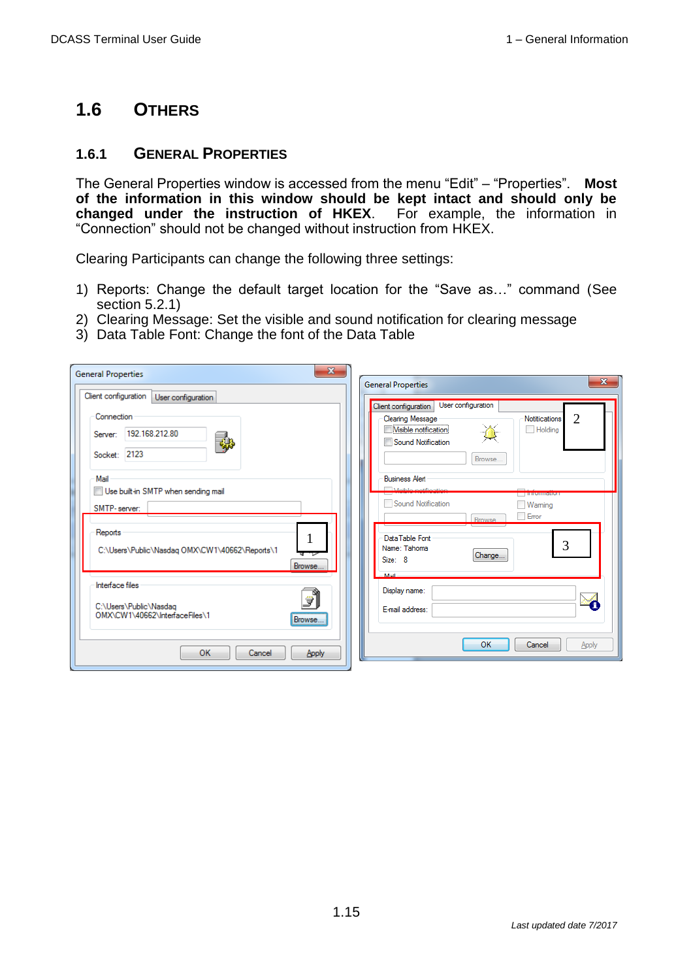## **1.6 OTHERS**

### **1.6.1 GENERAL PROPERTIES**

The General Properties window is accessed from the menu "Edit" – "Properties". **Most of the information in this window should be kept intact and should only be changed under the instruction of HKEX**. For example, the information in "Connection" should not be changed without instruction from HKEX.

Clearing Participants can change the following three settings:

- 1) Reports: Change the default target location for the "Save as…" command (See section 5.2.1)
- 2) Clearing Message: Set the visible and sound notification for clearing message
- 3) Data Table Font: Change the font of the Data Table

| $\mathbf{x}$<br><b>General Properties</b>                                                                                                       | $\mathbf{x}$<br><b>General Properties</b>                                                                                                                                                |
|-------------------------------------------------------------------------------------------------------------------------------------------------|------------------------------------------------------------------------------------------------------------------------------------------------------------------------------------------|
| Client configuration<br>User configuration                                                                                                      | User configuration                                                                                                                                                                       |
| Connection<br>192.168.212.80<br>Server:<br>碣<br>Socket: 2123                                                                                    | Client configuration<br>$\overline{2}$<br><b>Clearing Message</b><br><b>Notitications</b><br><b>Wisible notification</b><br>Holding<br>Sound Notification<br>Browse                      |
| Mail<br>Use built-in SMTP when sending mail<br>SMTP-server:<br>Reports<br>T<br>C:\Users\Public\Nasdaq OMX\CW1\40662\Reports\1<br>पा⊽<br>Browse. | <b>Business Alert</b><br>Meible potitiontion<br><b>THROHIQUOI</b><br>Sound Notification<br>Waming<br>Error<br><b>Browse</b><br>Data Table Font<br>3<br>Name: Tahoma<br>Change<br>Size: 8 |
| Interface files<br>⊕ไ<br>C:\Users\Public\Nasdaq<br>OMX\CW1\40662\InterfaceFiles\1<br>Browse                                                     | Mail<br>Display name:<br>E-mail address:                                                                                                                                                 |
| OK<br>Cancel<br><b>Apply</b>                                                                                                                    | OK<br>Cancel<br>Apply                                                                                                                                                                    |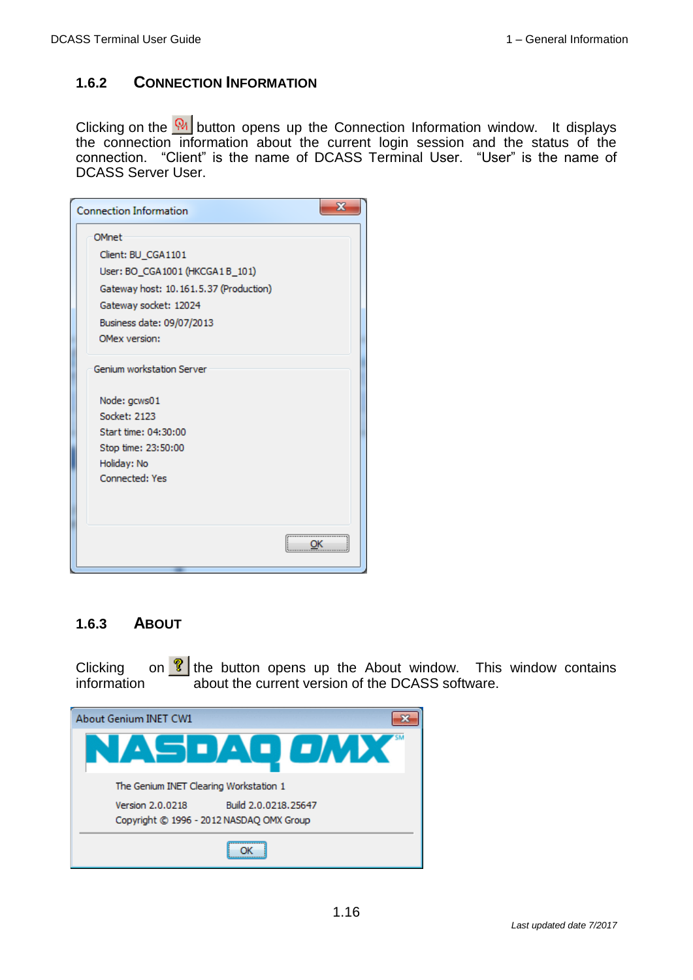### **1.6.2 CONNECTION INFORMATION**

Clicking on the W button opens up the Connection Information window. It displays the connection information about the current login session and the status of the connection. "Client" is the name of DCASS Terminal User. "User" is the name of DCASS Server User.

| <b>Connection Information</b>          | x |
|----------------------------------------|---|
| OMnet                                  |   |
| Client: BU_CGA1101                     |   |
| User: BO_CGA1001 (HKCGA1 B_101)        |   |
| Gateway host: 10.161.5.37 (Production) |   |
| Gateway socket: 12024                  |   |
| Business date: 09/07/2013              |   |
| OMex version:                          |   |
| Genium workstation Server              |   |
| Node: gcws01                           |   |
| Socket: 2123                           |   |
| Start time: 04:30:00                   |   |
| Stop time: 23:50:00                    |   |
| Holiday: No                            |   |
| <b>Connected: Yes</b>                  |   |
|                                        |   |
|                                        |   |
|                                        |   |
|                                        |   |

#### **1.6.3 ABOUT**

Clicking on  $\frac{1}{2}$  the button opens up the About window. This window contains information about the current version of the DCASS software.

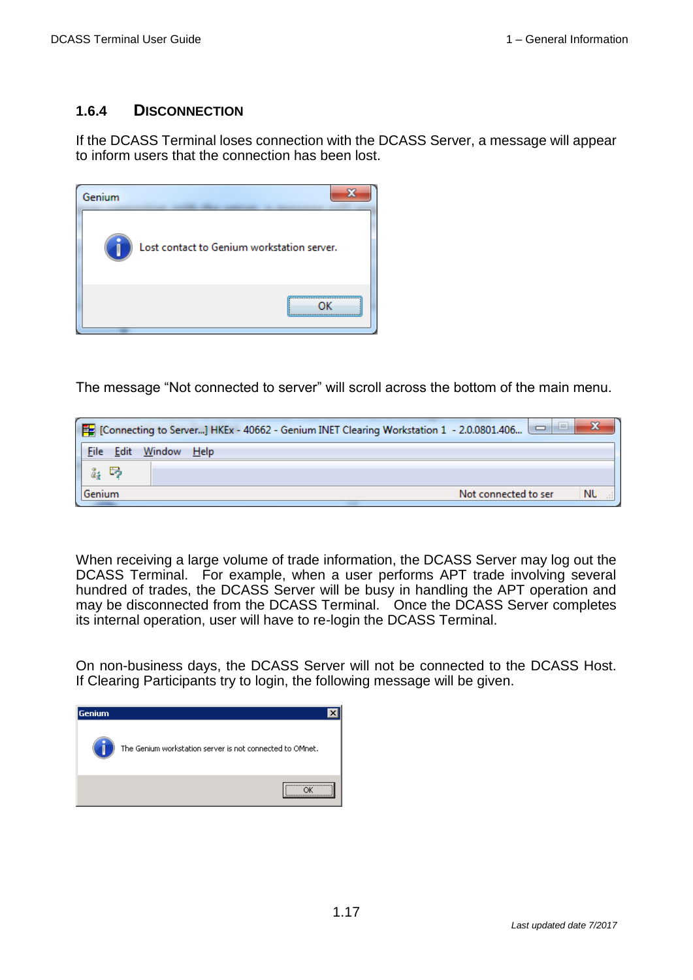### **1.6.4 DISCONNECTION**

If the DCASS Terminal loses connection with the DCASS Server, a message will appear to inform users that the connection has been lost.



The message "Not connected to server" will scroll across the bottom of the main menu.

| <b>ic</b><br>$\mathbb{E}$ [Connecting to Server] HKEx - 40662 - Genium INET Clearing Workstation 1 - 2.0.0801.406 |        |      |  |  |  |  |  |                      |  |    |  |
|-------------------------------------------------------------------------------------------------------------------|--------|------|--|--|--|--|--|----------------------|--|----|--|
| File<br>Edit                                                                                                      | Window | Help |  |  |  |  |  |                      |  |    |  |
| 區                                                                                                                 |        |      |  |  |  |  |  |                      |  |    |  |
| Genium                                                                                                            |        |      |  |  |  |  |  | Not connected to ser |  | ΝU |  |

When receiving a large volume of trade information, the DCASS Server may log out the DCASS Terminal. For example, when a user performs APT trade involving several hundred of trades, the DCASS Server will be busy in handling the APT operation and may be disconnected from the DCASS Terminal. Once the DCASS Server completes its internal operation, user will have to re-login the DCASS Terminal.

On non-business days, the DCASS Server will not be connected to the DCASS Host. If Clearing Participants try to login, the following message will be given.

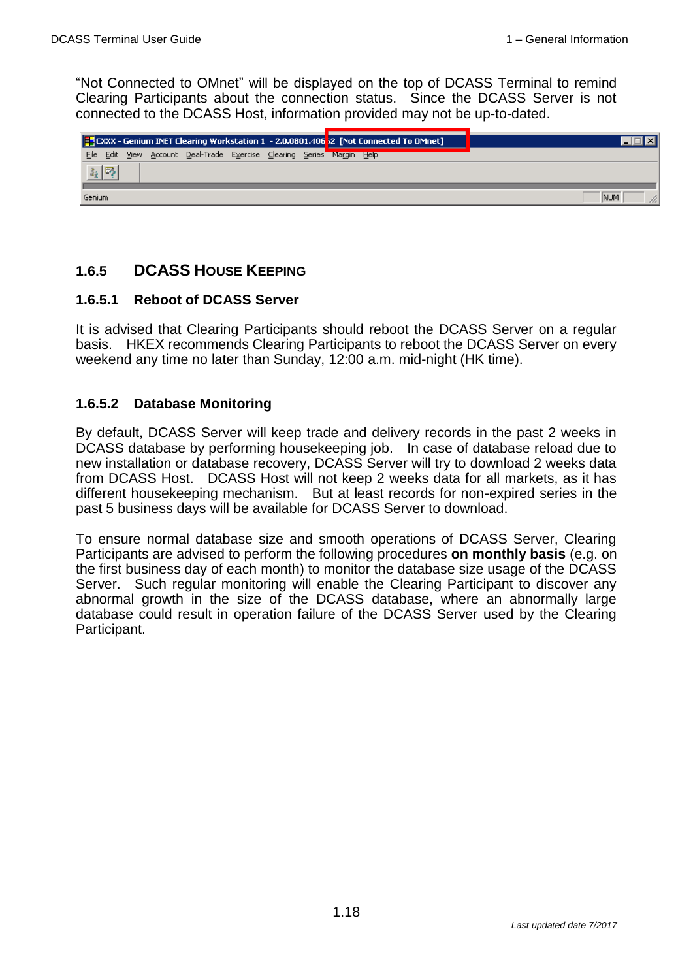"Not Connected to OMnet" will be displayed on the top of DCASS Terminal to remind Clearing Participants about the connection status. Since the DCASS Server is not connected to the DCASS Host, information provided may not be up-to-dated.



## **1.6.5 DCASS HOUSE KEEPING**

#### **1.6.5.1 Reboot of DCASS Server**

It is advised that Clearing Participants should reboot the DCASS Server on a regular basis. HKEX recommends Clearing Participants to reboot the DCASS Server on every weekend any time no later than Sunday, 12:00 a.m. mid-night (HK time).

#### **1.6.5.2 Database Monitoring**

By default, DCASS Server will keep trade and delivery records in the past 2 weeks in DCASS database by performing housekeeping job. In case of database reload due to new installation or database recovery, DCASS Server will try to download 2 weeks data from DCASS Host. DCASS Host will not keep 2 weeks data for all markets, as it has different housekeeping mechanism. But at least records for non-expired series in the past 5 business days will be available for DCASS Server to download.

To ensure normal database size and smooth operations of DCASS Server, Clearing Participants are advised to perform the following procedures **on monthly basis** (e.g. on the first business day of each month) to monitor the database size usage of the DCASS Server. Such regular monitoring will enable the Clearing Participant to discover any abnormal growth in the size of the DCASS database, where an abnormally large database could result in operation failure of the DCASS Server used by the Clearing Participant.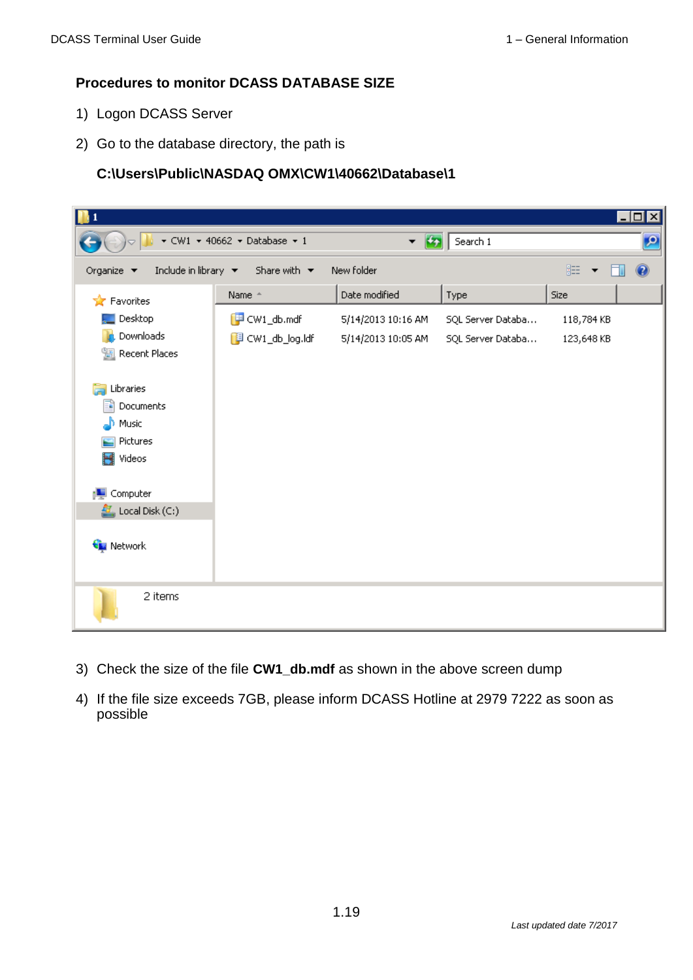#### **Procedures to monitor DCASS DATABASE SIZE**

- 1) Logon DCASS Server
- 2) Go to the database directory, the path is

#### **C:\Users\Public\NASDAQ OMX\CW1\40662\Database\1**

| I 1                                                                      |                                                      |                                                    |                                        |                          | $\Box$                   |
|--------------------------------------------------------------------------|------------------------------------------------------|----------------------------------------------------|----------------------------------------|--------------------------|--------------------------|
|                                                                          | $\star$ CW1 $\star$ 40662 $\star$ Database $\star$ 1 | $\left  \cdot \right $<br>$\overline{\phantom{a}}$ | Search 1                               |                          | $\vert \mathbf{Q} \vert$ |
| Include in library $\blacktriangledown$<br>Organize $\blacktriangledown$ | Share with $\;$                                      | New folder                                         |                                        | 第▼ 1                     | $\circledcirc$           |
| <b>x</b> Favorites                                                       | Name <sup>+</sup>                                    | Date modified                                      | Type                                   | Size                     |                          |
| Desktop<br>Downloads<br>Recent Places<br>螴                               | $\Box$ CW1_db.mdf<br>图 CW1_db_log.ldf                | 5/14/2013 10:16 AM<br>5/14/2013 10:05 AM           | SQL Server Databa<br>SQL Server Databa | 118,784 KB<br>123,648 KB |                          |
| Libraries<br>Documents<br>÷,<br>Music<br>Pictures<br>Videos<br>Ħ         |                                                      |                                                    |                                        |                          |                          |
| Computer<br>$\frac{d}{dx}$ , Local Disk (C:)                             |                                                      |                                                    |                                        |                          |                          |
| <b>Computer Network</b><br>2 items                                       |                                                      |                                                    |                                        |                          |                          |

- 3) Check the size of the file **CW1\_db.mdf** as shown in the above screen dump
- 4) If the file size exceeds 7GB, please inform DCASS Hotline at 2979 7222 as soon as possible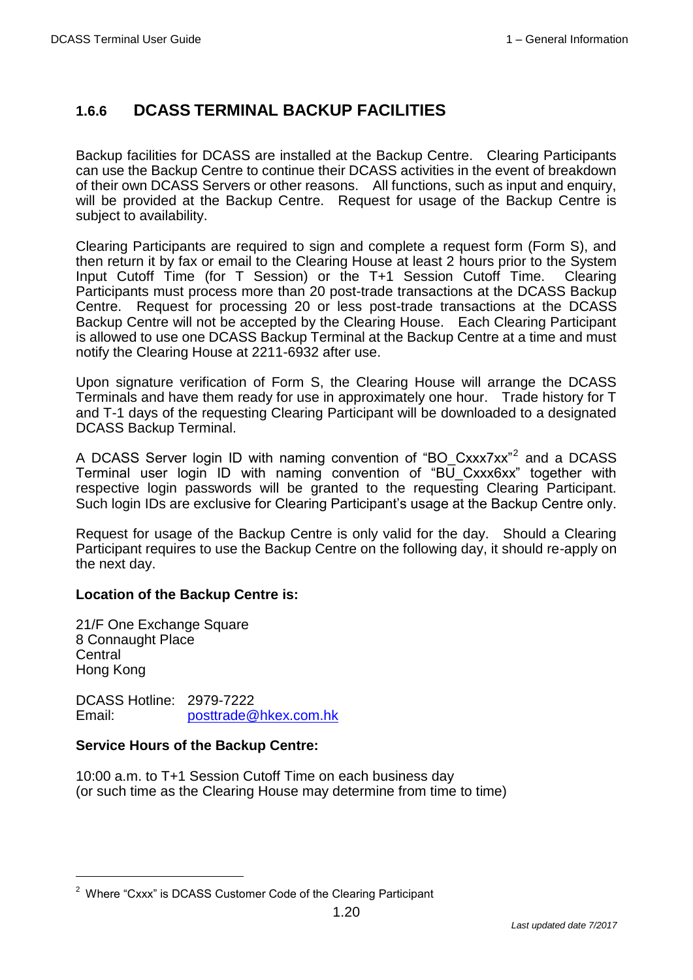## **1.6.6 DCASS TERMINAL BACKUP FACILITIES**

Backup facilities for DCASS are installed at the Backup Centre. Clearing Participants can use the Backup Centre to continue their DCASS activities in the event of breakdown of their own DCASS Servers or other reasons. All functions, such as input and enquiry, will be provided at the Backup Centre. Request for usage of the Backup Centre is subject to availability.

Clearing Participants are required to sign and complete a request form (Form S), and then return it by fax or email to the Clearing House at least 2 hours prior to the System Input Cutoff Time (for T Session) or the T+1 Session Cutoff Time. Clearing Participants must process more than 20 post-trade transactions at the DCASS Backup Centre. Request for processing 20 or less post-trade transactions at the DCASS Backup Centre will not be accepted by the Clearing House. Each Clearing Participant is allowed to use one DCASS Backup Terminal at the Backup Centre at a time and must notify the Clearing House at 2211-6932 after use.

Upon signature verification of Form S, the Clearing House will arrange the DCASS Terminals and have them ready for use in approximately one hour. Trade history for T and T-1 days of the requesting Clearing Participant will be downloaded to a designated DCASS Backup Terminal.

A DCASS Server login ID with naming convention of "BO\_Cxxx7xx"<sup>2</sup> and a DCASS Terminal user login ID with naming convention of "BU\_Cxxx6xx" together with respective login passwords will be granted to the requesting Clearing Participant. Such login IDs are exclusive for Clearing Participant's usage at the Backup Centre only.

Request for usage of the Backup Centre is only valid for the day. Should a Clearing Participant requires to use the Backup Centre on the following day, it should re-apply on the next day.

#### **Location of the Backup Centre is:**

21/F One Exchange Square 8 Connaught Place **Central** Hong Kong

 $\overline{a}$ 

DCASS Hotline: 2979-7222 Email: [posttrade@hkex.com.hk](mailto:posttrade@hkex.com.hk)

#### **Service Hours of the Backup Centre:**

10:00 a.m. to T+1 Session Cutoff Time on each business day (or such time as the Clearing House may determine from time to time)

<sup>2</sup> Where "Cxxx" is DCASS Customer Code of the Clearing Participant